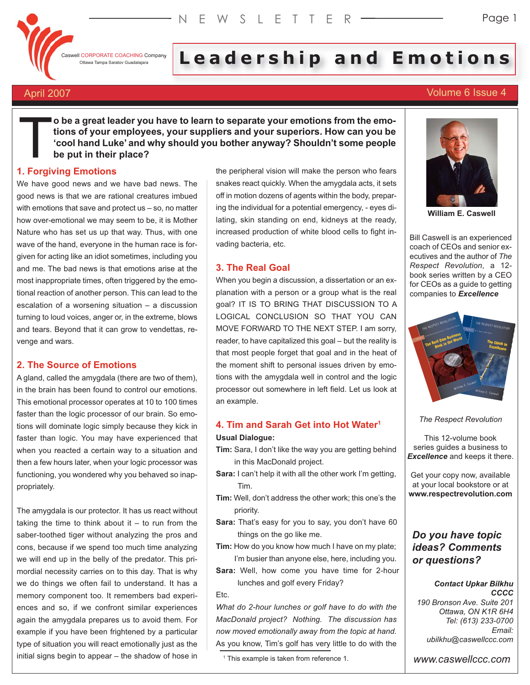Caswell CORPORATE COACHING Company

# I CORPORATE COACHING Company Leadd ership and Emotion bild ns

# April 2007 Volume 6 Issue 4

**o be a great leader you have to learn to separate your emotions from the emotions of your employees, your suppliers and your superiors. How can you be 'cool hand Luke' and why should you bother anyway? Shouldn't some people be put in their place?**

# **1. Forgiving Emotions**  $\prod$

We have good news and we have bad news. The good news is that we are rational creatures imbued with emotions that save and protect us – so, no matter how over-emotional we may seem to be, it is Mother Nature who has set us up that way. Thus, with one wave of the hand, everyone in the human race is forgiven for acting like an idiot sometimes, including you and me. The bad news is that emotions arise at the most inappropriate times, often triggered by the emotional reaction of another person. This can lead to the escalation of a worsening situation – a discussion turning to loud voices, anger or, in the extreme, blows and tears. Beyond that it can grow to vendettas, revenge and wars.

# **2. The Source of Emotions**

A gland, called the amygdala (there are two of them), in the brain has been found to control our emotions. This emotional processor operates at 10 to 100 times faster than the logic processor of our brain. So emotions will dominate logic simply because they kick in faster than logic. You may have experienced that when you reacted a certain way to a situation and then a few hours later, when your logic processor was functioning, you wondered why you behaved so inappropriately.

The amygdala is our protector. It has us react without taking the time to think about it  $-$  to run from the saber-toothed tiger without analyzing the pros and cons, because if we spend too much time analyzing we will end up in the belly of the predator. This primordial necessity carries on to this day. That is why we do things we often fail to understand. It has a memory component too. It remembers bad experiences and so, if we confront similar experiences again the amygdala prepares us to avoid them. For example if you have been frightened by a particular type of situation you will react emotionally just as the initial signs begin to appear – the shadow of hose in

the peripheral vision will make the person who fears snakes react quickly. When the amygdala acts, it sets off in motion dozens of agents within the body, preparing the individual for a potential emergency, - eyes dilating, skin standing on end, kidneys at the ready, increased production of white blood cells to fight invading bacteria, etc.

# **3. The Real Goal**

When you begin a discussion, a dissertation or an explanation with a person or a group what is the real goal? IT IS TO BRING THAT DISCUSSION TO A LOGICAL CONCLUSION SO THAT YOU CAN MOVE FORWARD TO THE NEXT STEP. I am sorry, reader, to have capitalized this goal – but the reality is that most people forget that goal and in the heat of the moment shift to personal issues driven by emotions with the amygdala well in control and the logic processor out somewhere in left field. Let us look at an example.

# **4. Tim and Sarah Get into Hot Water1**

# **Usual Dialogue:**

- **Tim:** Sara, I don't like the way you are getting behind in this MacDonald project.
- **Sara:** I can't help it with all the other work I'm getting, Tim.
- **Tim:** Well, don't address the other work; this one's the priority.
- **Sara:** That's easy for you to say, you don't have 60 things on the go like me.
- **Tim:** How do you know how much I have on my plate; I'm busier than anyone else, here, including you.
- **Sara:** Well, how come you have time for 2-hour lunches and golf every Friday?

#### Etc.

*What do 2-hour lunches or golf have to do with the MacDonald project? Nothing. The discussion has now moved emotionally away from the topic at hand.* As you know, Tim's golf has very little to do with the

<sup>1</sup> This example is taken from reference 1.



**William E. Caswell**

Bill Caswell is an experienced coach of CEOs and senior executives and the author of *The Respect Revolution*, a 12 book series written by a CEO for CEOs as a guide to getting companies to *Excellence*



*The Respect Revolution*

This 12-volume book series guides a business to *Excellence* and keeps it there.

Get your copy now, available at your local bookstore or at **www.respectrevolution.com**

# *Do you have topic ideas? Comments or questions?*

#### *Contact Upkar Bilkhu CCCC*

*190 Bronson Ave. Suite 201 Ottawa, ON K1R 6H4 Tel: (613) 233-0700 Email: ubilkhu@caswellccc.com*

*www.caswellccc.com*